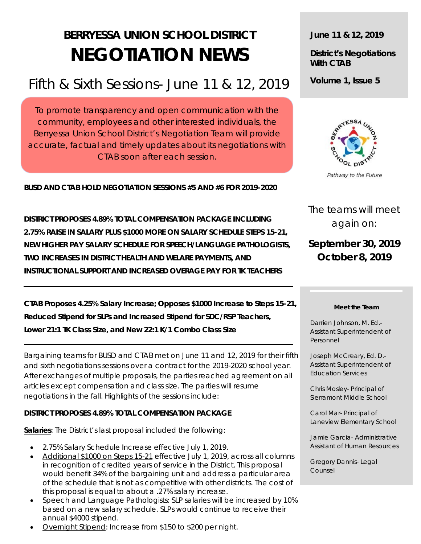# **BERRYESSA UNION SCHOOL DISTRICT NEGOTIATION NEWS**

## Fifth & Sixth Sessions- June 11 & 12, 2019

To promote transparency and open communication with the community, employees and other interested individuals, the Berryessa Union School District's Negotiation Team will provide accurate, factual and timely updates about its negotiations with CTAB soon after each session.

**BUSD AND CTAB HOLD NEGOTIATION SESSIONS #5 AND #6 FOR 2019-2020**

 **DISTRICT PROPOSES 4.89% TOTAL COMPENSATION PACKAGE INCLUDING 2.75% RAISE IN SALARY PLUS \$1000 MORE ON SALARY SCHEDULE STEPS 15-21, NEW HIGHER PAY SALARY SCHEDULE FOR SPEECH/LANGUAGE PATHOLOGISTS, TWO INCREASES IN DISTRICT HEALTH AND WELARE PAYMENTS, AND INSTRUCTIONAL SUPPORT AND INCREASED OVERAGE PAY FOR TK TEACHERS**

**CTAB Proposes 4.25% Salary Increase; Opposes \$1000 Increase to Steps 15-21, Reduced Stipend for SLPs and Increased Stipend for SDC/RSP Teachers, Lower 21:1 TK Class Size, and New 22:1 K/1 Combo Class Size**

Bargaining teams for BUSD and CTAB met on June 11 and 12, 2019 for their fifth and sixth negotiations sessions over a contract for the 2019-2020 school year. After exchanges of multiple proposals, the parties reached agreement on all articles except compensation and class size. The parties will resume negotiations in the fall. Highlights of the sessions include:

#### **DISTRICT PROPOSES 4.89% TOTAL COMPENSATION PACKAGE**

**Salaries**: The District's last proposal included the following:

- 2.75% Salary Schedule Increase effective July 1, 2019.
- Additional \$1000 on Steps 15-21 effective July 1, 2019, across all columns in recognition of credited years of service in the District. This proposal would benefit 34% of the bargaining unit and address a particular area of the schedule that is not as competitive with other districts. The cost of this proposal is equal to about a .27% salary increase.
- Speech and Language Pathologists: SLP salaries will be increased by 10% based on a new salary schedule. SLPs would continue to receive their annual \$4000 stipend.
- Overnight Stipend: Increase from \$150 to \$200 per night.

**June 11 & 12, 2019**

**District's Negotiations With CTAB**

**Volume 1, Issue 5**



Pathway to the Future

The teams will meet again on:

### **September 30, 2019 October 8, 2019**

#### **Meet the Team**

Darrien Johnson, M. Ed.- Assistant Superintendent of Personnel

Joseph McCreary, Ed. D.- Assistant Superintendent of Education Services

Chris Mosley- Principal of Sierramont Middle School

Carol Mar- Principal of Laneview Elementary School

Jamie Garcia- Administrative Assistant of Human Resources

Gregory Dannis- Legal Counsel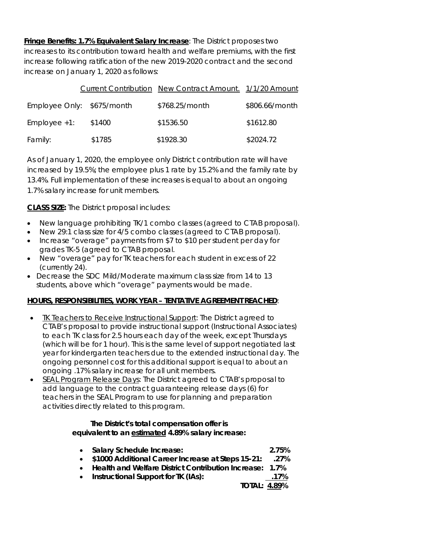**Fringe Benefits: 1.7% Equivalent Salary Increase**: The District proposes two increases to its contribution toward health and welfare premiums, with the first increase following ratification of the new 2019-2020 contract and the second increase on January 1, 2020 as follows:

|                            |        | Current Contribution New Contract Amount. 1/1/20 Amount |                |
|----------------------------|--------|---------------------------------------------------------|----------------|
| Employee Only: \$675/month |        | \$768.25/month                                          | \$806.66/month |
| $Emplovee +1$ :            | \$1400 | \$1536.50                                               | \$1612.80      |
| Family:                    | \$1785 | \$1928.30                                               | \$2024.72      |

As of January 1, 2020, the employee only District contribution rate will have increased by 19.5%; the employee plus 1 rate by 15.2% and the family rate by 13.4%. Full implementation of these increases is equal to about an ongoing 1.7% salary increase for unit members.

**CLASS SIZE:** The District proposal includes:

- New language prohibiting TK/1 combo classes (agreed to CTAB proposal).
- New 29:1 class size for 4/5 combo classes (agreed to CTAB proposal).
- Increase "overage" payments from \$7 to \$10 per student per day for grades TK-5 (agreed to CTAB proposal.
- New "overage" pay for TK teachers for each student in excess of 22 (currently 24).
- Decrease the SDC Mild/Moderate maximum class size from 14 to 13 students, above which "overage" payments would be made.

#### **HOURS, RESPONSIBILITIES, WORK YEAR – TENTATIVE AGREEMENT REACHED**:

- TK Teachers to Receive Instructional Support: The District agreed to CTAB's proposal to provide instructional support (Instructional Associates) to each TK class for 2.5 hours each day of the week, except Thursdays (which will be for 1 hour). This is the same level of support negotiated last year for kindergarten teachers due to the extended instructional day. The ongoing personnel cost for this additional support is equal to about an ongoing .17% salary increase for all unit members.
- SEAL Program Release Days: The District agreed to CTAB's proposal to add language to the contract guaranteeing release days (6) for teachers in the SEAL Program to use for planning and preparation activities directly related to this program.

#### *The District's total compensation offer is equivalent to an estimated 4.89% salary increase:*

| • Salary Schedule Increase:                               | 2.75% |
|-----------------------------------------------------------|-------|
| • \$1000 Additional Career Increase at Steps 15-21:       | .27%  |
| • Health and Welfare District Contribution Increase: 1.7% |       |
| • Instructional Support for TK (IAs):                     | .17%  |
| <b>TOTAL: 4.89%</b>                                       |       |